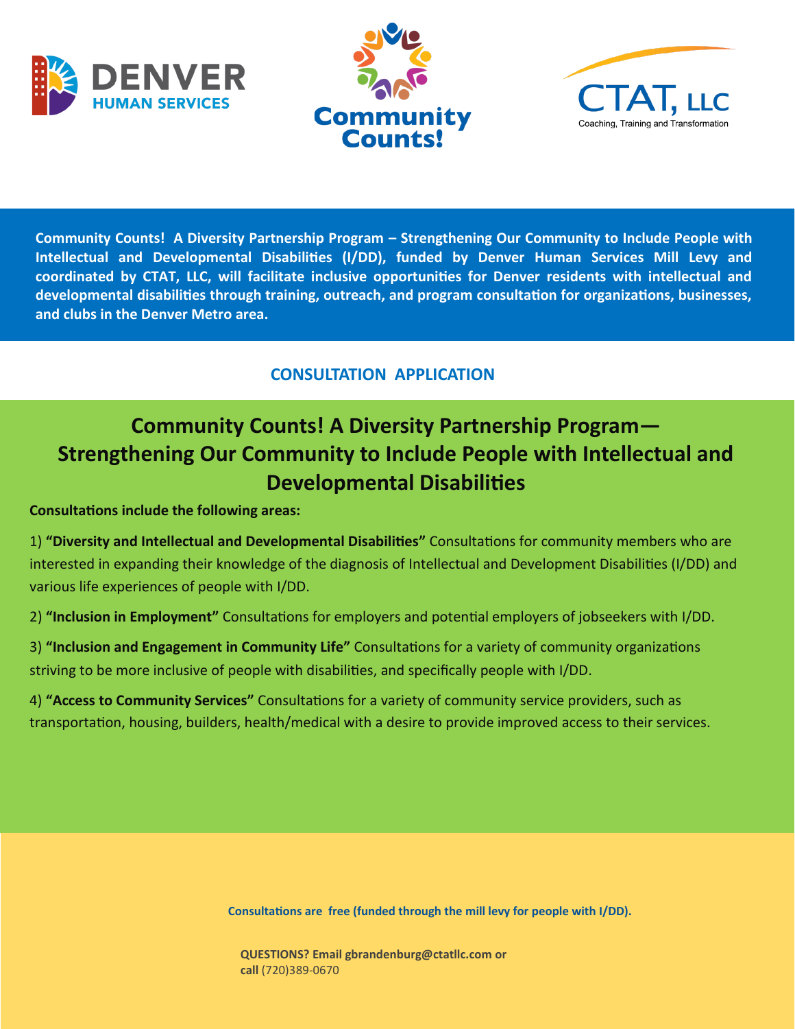





**Community Counts! A Diversity Partnership Program – Strengthening Our Community to Include People with Intellectual and Developmental Disabilities (I/DD), funded by Denver Human Services Mill Levy and coordinated by CTAT, LLC, will facilitate inclusive opportunities for Denver residents with intellectual and developmental disabilities through training, outreach, and program consultation for organizations, businesses, and clubs in the Denver Metro area.** 

## **CONSULTATION APPLICATION**

## **Community Counts! A Diversity Partnership Program— Strengthening Our Community to Include People with Intellectual and Developmental Disabilities**

**Consultations include the following areas:**

1) **"Diversity and Intellectual and Developmental Disabilities"** Consultations for community members who are interested in expanding their knowledge of the diagnosis of Intellectual and Development Disabilities (I/DD) and various life experiences of people with I/DD.

2) **"Inclusion in Employment"** Consultations for employers and potential employers of jobseekers with I/DD.

3) **"Inclusion and Engagement in Community Life"** Consultations for a variety of community organizations striving to be more inclusive of people with disabilities, and specifically people with I/DD.

4) **"Access to Community Services"** Consultations for a variety of community service providers, such as transportation, housing, builders, health/medical with a desire to provide improved access to their services.

**Consultations are free (funded through the mill levy for people with I/DD).**

**QUESTIONS? Email gbrandenburg@ctatllc.com or call** (720)389-0670